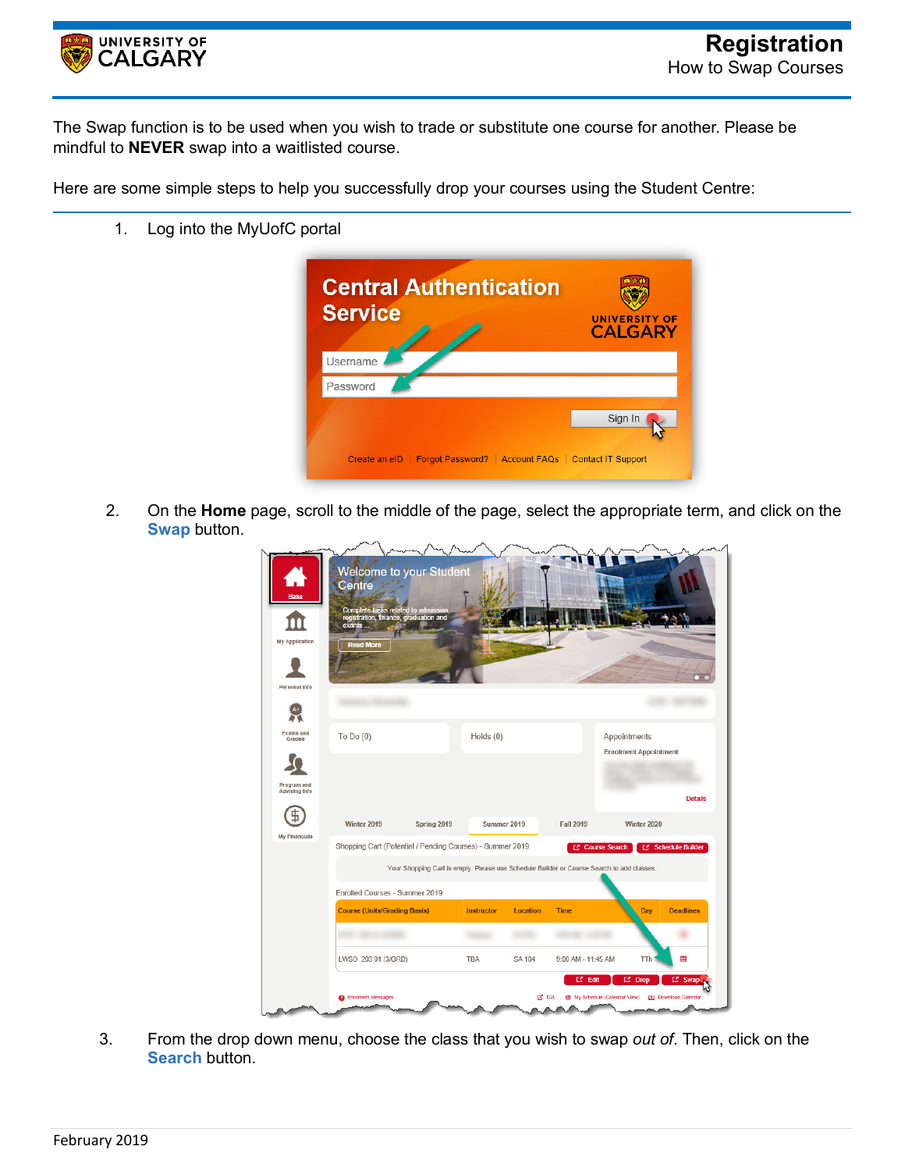

The Swap function is to be used when you wish to trade or substitute one course for another. Please be mindful to **NEVER** swap into a waitlisted course.

Here are some simple steps to help you successfully drop your courses using the Student Centre:

1. Log into the MyUofC portal



2. On the **Home** page, scroll to the middle of the page, select the appropriate term, and click on the **Swap** button.

| Home<br>My Application<br>Personal Info | Welcome to your Student<br>Centre<br>Complete tasks related to admission<br>registration, finance, graduation and<br>exams<br><b>Read More</b> |                                                                                           |                   |                 |                    |                                               |                                         |
|-----------------------------------------|------------------------------------------------------------------------------------------------------------------------------------------------|-------------------------------------------------------------------------------------------|-------------------|-----------------|--------------------|-----------------------------------------------|-----------------------------------------|
| Exams and<br>Grades                     | To Do $(0)$                                                                                                                                    |                                                                                           | Holds (0)         |                 |                    | Appointments<br><b>Enrolment Appointment</b>  |                                         |
| Program and<br>Advising Info            |                                                                                                                                                |                                                                                           |                   |                 |                    |                                               | <b>Details</b>                          |
|                                         | Winter 2019                                                                                                                                    | Spring 2019                                                                               | Summer 2019       |                 | Fall 2019          | Winter 2020                                   |                                         |
| My Financials                           | Shopping Cart (Potential / Pending Courses) - Summer 2019                                                                                      |                                                                                           |                   |                 | C Course Search    |                                               | <b>E'</b> Schedule Builder              |
|                                         |                                                                                                                                                | Your Shopping Cart is empty. Please use Schedule Builder or Course Search to add classes. |                   |                 |                    |                                               |                                         |
|                                         | Enrolled Courses - Summer 2019                                                                                                                 |                                                                                           |                   |                 |                    |                                               |                                         |
|                                         | <b>Course (Units/Grading Basis)</b>                                                                                                            |                                                                                           | <b>Instructor</b> | <b>Location</b> | <b>Time</b>        | Dav                                           | <b>Deadlines</b>                        |
|                                         |                                                                                                                                                |                                                                                           |                   |                 |                    |                                               |                                         |
|                                         | LWSO 203 01 (3/GRD)                                                                                                                            |                                                                                           | <b>TBA</b>        | SA 104          | 9:00 AM - 11:45 AM | TTh                                           | 雦                                       |
|                                         | <b>O</b> Enrolment Messages                                                                                                                    |                                                                                           |                   | $2^7$ D2L       | $E^*$ Edit<br>m    | <b>L' Drop</b><br>My Schedule (Calendar View) | L' Swap<br><b>[4]</b> Download Calendar |

3. From the drop down menu, choose the class that you wish to swap *out of*. Then, click on the **Search** button.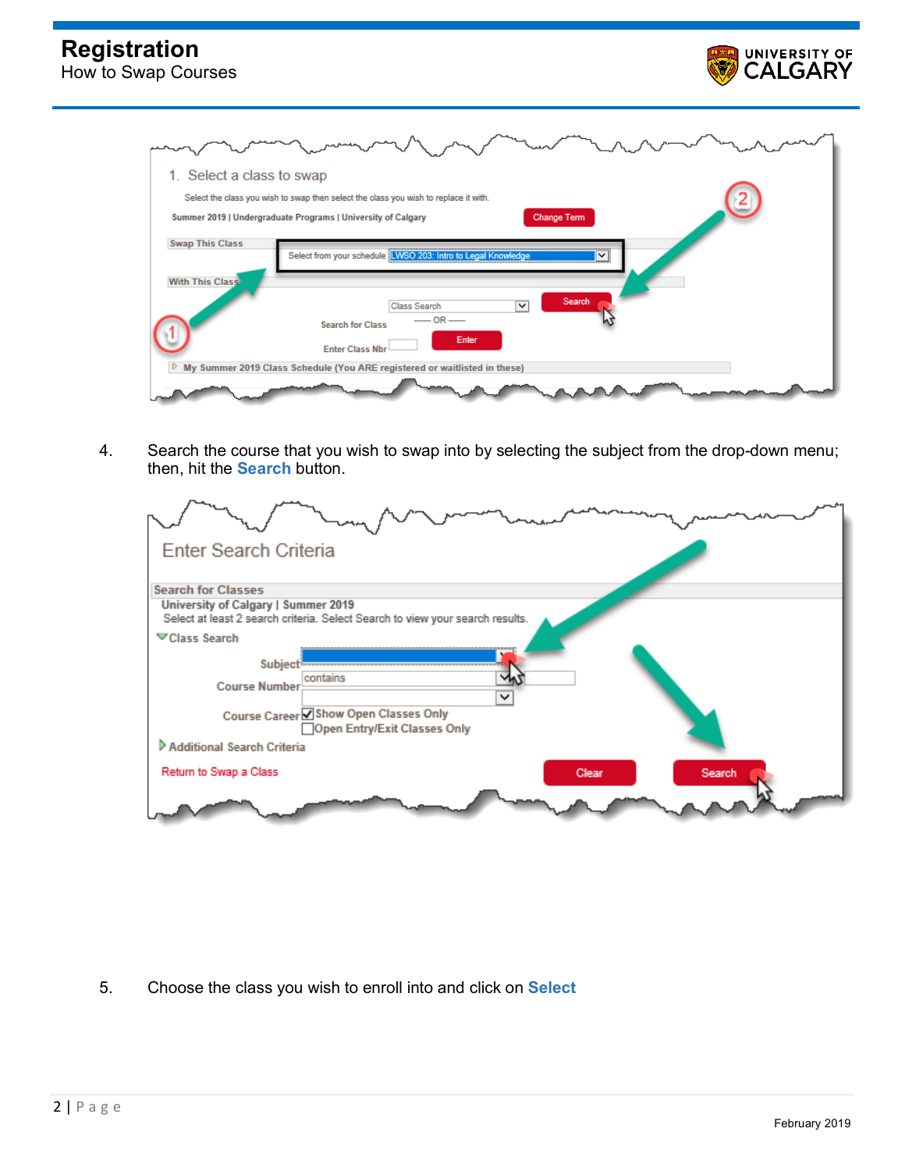

| 1. Select a class to swap                                                                    |
|----------------------------------------------------------------------------------------------|
| Select the class you wish to swap then select the class you wish to replace it with.         |
| Summer 2019   Undergraduate Programs   University of Calgary<br><b>Change Term</b>           |
| <b>Swap This Class</b><br>Select from your schedule [LWSO 203: Intro to Legal Knowledge<br>◡ |
| With This Class<br>Search<br>$\overline{\mathbf{v}}$<br>Class Search                         |
| ------ OR ------<br><b>Search for Class</b>                                                  |
| Enter<br><b>Enter Class Nbr</b>                                                              |
| My Summer 2019 Class Schedule (You ARE registered or waitlisted in these)                    |
|                                                                                              |

4. Search the course that you wish to swap into by selecting the subject from the drop-down menu; then, hit the **Search** button.

| Enter Search Criteria                                                                                                                                                                                                                                                         |
|-------------------------------------------------------------------------------------------------------------------------------------------------------------------------------------------------------------------------------------------------------------------------------|
| <b>Search for Classes</b>                                                                                                                                                                                                                                                     |
| University of Calgary   Summer 2019<br>Select at least 2 search criteria. Select Search to view your search results.                                                                                                                                                          |
| <b>▽Class Search</b>                                                                                                                                                                                                                                                          |
| Subject <b>From Continuing Contact Contact Contact Contact Contact Contact Contact Contact Contact Contact Contact Contact Contact Contact Contact Contact Contact Contact Contact Contact Contact Contact Contact Contact Conta</b><br>contains<br><b>Course Number</b><br>◡ |
| Course Career ØShow Open Classes Only                                                                                                                                                                                                                                         |
| □Open Entry/Exit Classes Only                                                                                                                                                                                                                                                 |
| Additional Search Criteria                                                                                                                                                                                                                                                    |
| Return to Swap a Class<br>Clear<br>Search                                                                                                                                                                                                                                     |
|                                                                                                                                                                                                                                                                               |

5. Choose the class you wish to enroll into and click on **Select**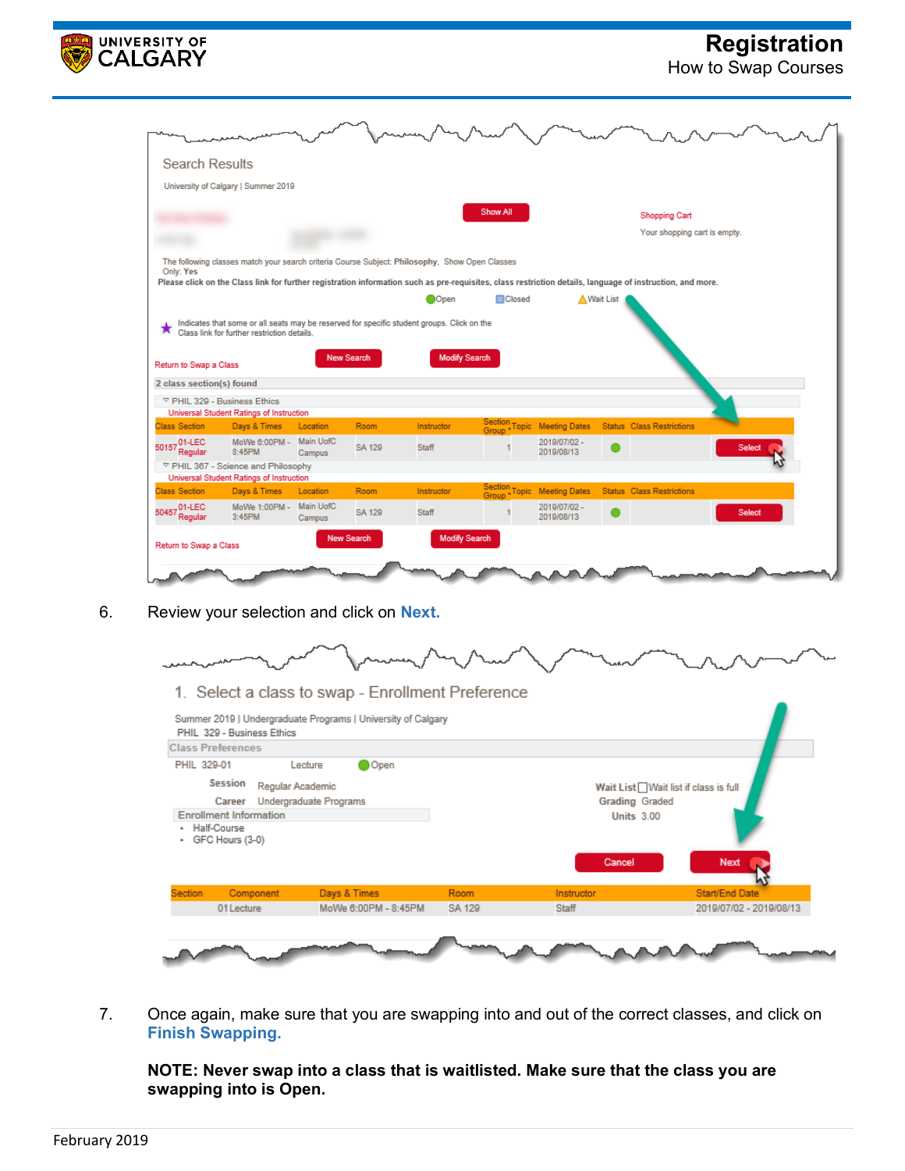

## **Registration**

How to Swap Courses

| Search Results           |                                                                                                |                     |                   |                      |                 |                             |           |                                                                                                                                                           |        |  |
|--------------------------|------------------------------------------------------------------------------------------------|---------------------|-------------------|----------------------|-----------------|-----------------------------|-----------|-----------------------------------------------------------------------------------------------------------------------------------------------------------|--------|--|
|                          | University of Calgary   Summer 2019                                                            |                     |                   |                      |                 |                             |           |                                                                                                                                                           |        |  |
|                          |                                                                                                |                     |                   |                      | Show All        |                             |           | <b>Shopping Cart</b><br>Your shopping cart is empty.                                                                                                      |        |  |
| Only: Yes                | The following classes match your search criteria Course Subject: Philosophy, Show Open Classes |                     |                   |                      |                 |                             |           |                                                                                                                                                           |        |  |
|                          |                                                                                                |                     |                   |                      |                 |                             |           | Please click on the Class link for further registration information such as pre-requisites, class restriction details, language of instruction, and more. |        |  |
|                          |                                                                                                |                     |                   | Open                 | <b>D</b> Closed |                             | Wait List |                                                                                                                                                           |        |  |
|                          | Indicates that some or all seats may be reserved for specific student groups. Click on the     |                     |                   |                      |                 |                             |           |                                                                                                                                                           |        |  |
|                          | Class link for further restriction details.                                                    |                     |                   |                      |                 |                             |           |                                                                                                                                                           |        |  |
| Return to Swap a Class   |                                                                                                |                     | <b>New Search</b> | <b>Modify Search</b> |                 |                             |           |                                                                                                                                                           |        |  |
| 2 class section(s) found |                                                                                                |                     |                   |                      |                 |                             |           |                                                                                                                                                           |        |  |
|                          | ▽ PHIL 329 - Business Ethics                                                                   |                     |                   |                      |                 |                             |           |                                                                                                                                                           |        |  |
|                          | <b>Universal Student Ratings of Instruction</b>                                                |                     |                   |                      |                 |                             |           |                                                                                                                                                           |        |  |
| <b>Class Section</b>     | Days & Times                                                                                   | Location            | <b>Room</b>       | Instructor           |                 | Section Topic Meeting Dates |           | <b>Status</b> Class Restrictions                                                                                                                          |        |  |
| 50157 01-LEC<br>Regular  | MoWe 6:00PM -<br>8:45PM                                                                        | Main UofC<br>Campus | SA 129            | Staff                |                 | 2019/07/02 -<br>2019/08/13  |           |                                                                                                                                                           | Selec  |  |
|                          | ▽ PHIL 367 - Science and Philosophy                                                            |                     |                   |                      |                 |                             |           |                                                                                                                                                           |        |  |
|                          | Universal Student Ratings of Instruction                                                       |                     |                   |                      |                 |                             |           |                                                                                                                                                           |        |  |
| <b>Class Section</b>     | Days & Times                                                                                   | Location            | <b>Room</b>       | Instructor           |                 | Section Topic Meeting Dates |           | <b>Status</b> Class Restrictions                                                                                                                          |        |  |
| 50457 01-LEC<br>Regular  | MoWe 1:00PM -<br>3:45PM                                                                        | Main UofC<br>Campus | SA 129            | Staff                |                 | 2019/07/02 -<br>2019/08/13  |           |                                                                                                                                                           | Select |  |

6. Review your selection and click on **Next.**



1. Select a class to swap - Enrollment Preference

|             | <b>Class Preferences</b>         |                        |        |                   |                                      |
|-------------|----------------------------------|------------------------|--------|-------------------|--------------------------------------|
| PHIL 329-01 |                                  | O Open<br>Lecture      |        |                   |                                      |
|             | Session<br>Regular Academic      |                        |        |                   | Wait List Wait list if class is full |
|             | Career                           | Undergraduate Programs |        | Grading Graded    |                                      |
|             | Enrollment Information           |                        |        | <b>Units 3.00</b> |                                      |
| ٠           | Half-Course<br>- GFC Hours (3-0) |                        |        |                   |                                      |
|             |                                  |                        |        | <b>Cancel</b>     | Next                                 |
| Section     | Component                        | Days & Times           | Room   | Instructor        | Start/End Date                       |
|             | 01 Lecture                       | MoWe 6:00PM - 8:45PM   | SA 129 | Staff             | 2019/07/02 - 2019/08/13              |
|             |                                  |                        |        |                   |                                      |

7. Once again, make sure that you are swapping into and out of the correct classes, and click on **Finish Swapping.**

**NOTE: Never swap into a class that is waitlisted. Make sure that the class you are swapping into is Open.**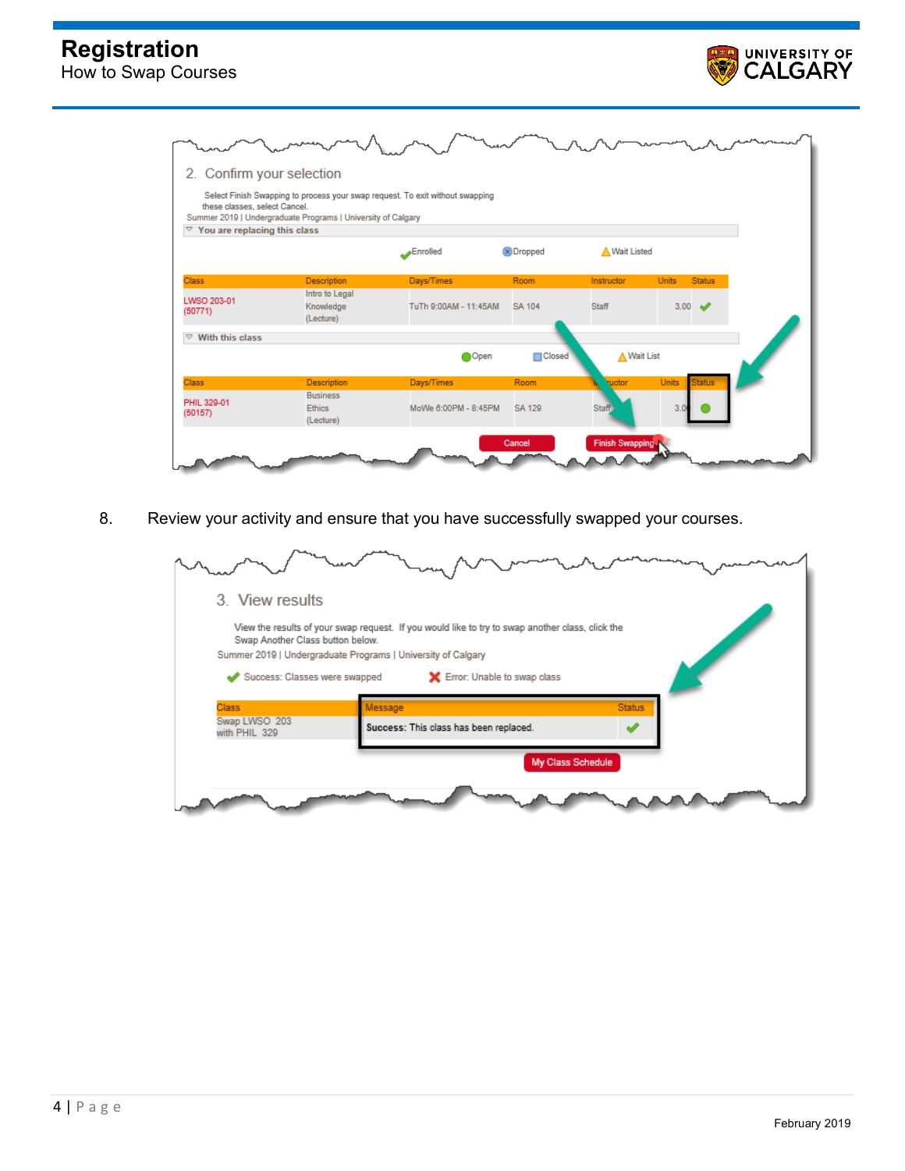



8. Review your activity and ensure that you have successfully swapped your courses.

| 3. View results                  |                                                                                                  |               |
|----------------------------------|--------------------------------------------------------------------------------------------------|---------------|
|                                  | View the results of your swap request. If you would like to try to swap another class, click the |               |
| Swap Another Class button below. | Summer 2019   Undergraduate Programs   University of Calgary                                     |               |
|                                  |                                                                                                  |               |
| Success: Classes were swapped    | Error: Unable to swap class                                                                      |               |
|                                  |                                                                                                  |               |
| Class                            | Message                                                                                          | <b>Status</b> |
| Swap LWSO 203<br>with PHIL 329   | Success: This class has been replaced.                                                           |               |